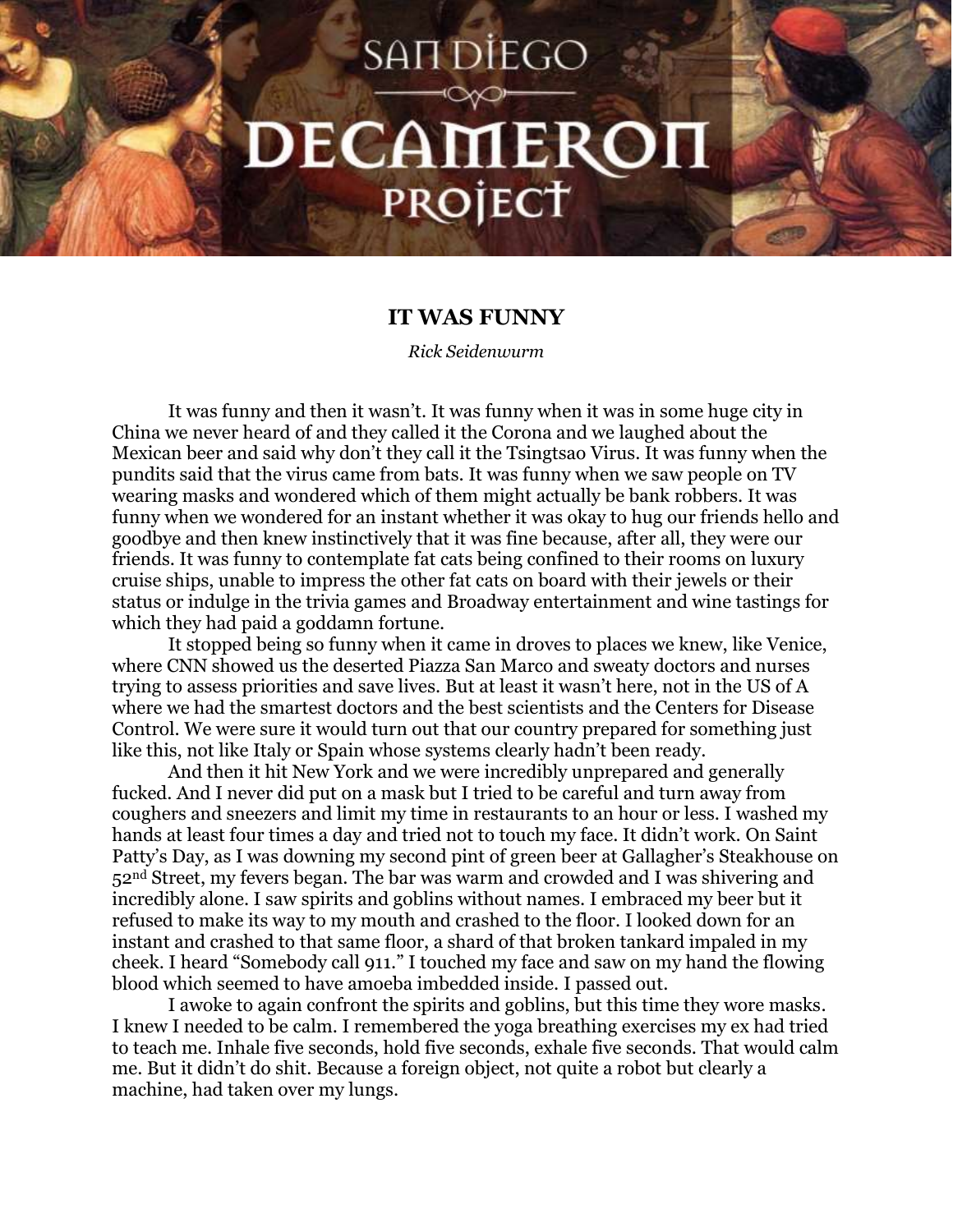## **SANDIEGO DECAMERON** PROJECT

## **IT WAS FUNNY**

*Rick Seidenwurm*

It was funny and then it wasn't. It was funny when it was in some huge city in China we never heard of and they called it the Corona and we laughed about the Mexican beer and said why don't they call it the Tsingtsao Virus. It was funny when the pundits said that the virus came from bats. It was funny when we saw people on TV wearing masks and wondered which of them might actually be bank robbers. It was funny when we wondered for an instant whether it was okay to hug our friends hello and goodbye and then knew instinctively that it was fine because, after all, they were our friends. It was funny to contemplate fat cats being confined to their rooms on luxury cruise ships, unable to impress the other fat cats on board with their jewels or their status or indulge in the trivia games and Broadway entertainment and wine tastings for which they had paid a goddamn fortune.

It stopped being so funny when it came in droves to places we knew, like Venice, where CNN showed us the deserted Piazza San Marco and sweaty doctors and nurses trying to assess priorities and save lives. But at least it wasn't here, not in the US of A where we had the smartest doctors and the best scientists and the Centers for Disease Control. We were sure it would turn out that our country prepared for something just like this, not like Italy or Spain whose systems clearly hadn't been ready.

And then it hit New York and we were incredibly unprepared and generally fucked. And I never did put on a mask but I tried to be careful and turn away from coughers and sneezers and limit my time in restaurants to an hour or less. I washed my hands at least four times a day and tried not to touch my face. It didn't work. On Saint Patty's Day, as I was downing my second pint of green beer at Gallagher's Steakhouse on 52nd Street, my fevers began. The bar was warm and crowded and I was shivering and incredibly alone. I saw spirits and goblins without names. I embraced my beer but it refused to make its way to my mouth and crashed to the floor. I looked down for an instant and crashed to that same floor, a shard of that broken tankard impaled in my cheek. I heard "Somebody call 911." I touched my face and saw on my hand the flowing blood which seemed to have amoeba imbedded inside. I passed out.

I awoke to again confront the spirits and goblins, but this time they wore masks. I knew I needed to be calm. I remembered the yoga breathing exercises my ex had tried to teach me. Inhale five seconds, hold five seconds, exhale five seconds. That would calm me. But it didn't do shit. Because a foreign object, not quite a robot but clearly a machine, had taken over my lungs.